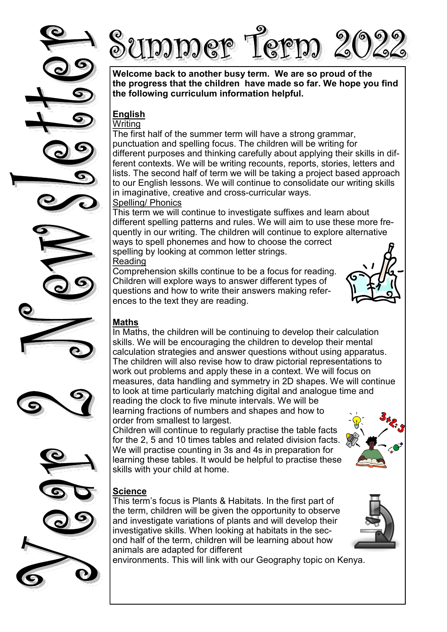





**Welcome back to another busy term. We are so proud of the the progress that the children have made so far. We hope you find the following curriculum information helpful.**

#### **English**  Writing

The first half of the summer term will have a strong grammar, punctuation and spelling focus. The children will be writing for different purposes and thinking carefully about applying their skills in different contexts. We will be writing recounts, reports, stories, letters and lists. The second half of term we will be taking a project based approach to our English lessons. We will continue to consolidate our writing skills in imaginative, creative and cross-curricular ways. Spelling/ Phonics

This term we will continue to investigate suffixes and learn about different spelling patterns and rules. We will aim to use these more frequently in our writing. The children will continue to explore alternative ways to spell phonemes and how to choose the correct spelling by looking at common letter strings. Reading

Comprehension skills continue to be a focus for reading. Children will explore ways to answer different types of questions and how to write their answers making references to the text they are reading.

# **Maths**

In Maths, the children will be continuing to develop their calculation skills. We will be encouraging the children to develop their mental calculation strategies and answer questions without using apparatus. The children will also revise how to draw pictorial representations to work out problems and apply these in a context. We will focus on measures, data handling and symmetry in 2D shapes. We will continue to look at time particularly matching digital and analogue time and

reading the clock to five minute intervals. We will be learning fractions of numbers and shapes and how to order from smallest to largest.

Children will continue to regularly practise the table facts for the 2, 5 and 10 times tables and related division facts. We will practise counting in 3s and 4s in preparation for learning these tables. It would be helpful to practise these skills with your child at home.

### **Science**

This term's focus is Plants & Habitats. In the first part of the term, children will be given the opportunity to observe and investigate variations of plants and will develop their investigative skills. When looking at habitats in the second half of the term, children will be learning about how animals are adapted for different

environments. This will link with our Geography topic on Kenya.